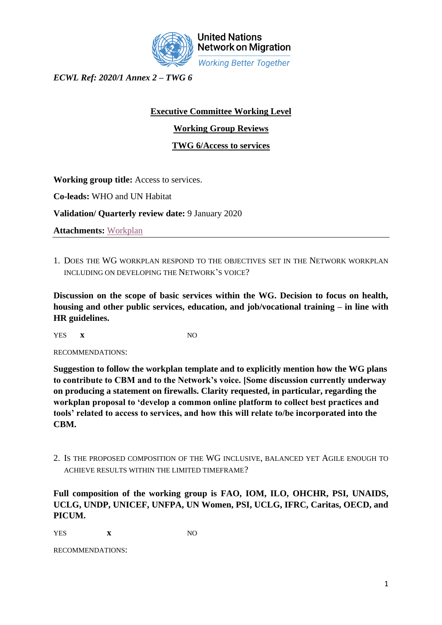

**United Nations Network on Migration Working Better Together** 

*ECWL Ref: 2020/1 Annex 2 – TWG 6* 

## **Executive Committee Working Level**

**Working Group Reviews**

**TWG 6/Access to services** 

**Working group title:** Access to services.

**Co-leads:** WHO and UN Habitat

**Validation/ Quarterly review date:** 9 January 2020

**Attachments:** [Workplan](https://iomint-my.sharepoint.com/:f:/g/personal/amateo_iom_int1/EjCUuKmYFZhPgwNsSCK-n7oBGDd78nE6fZ38pcVErFhbkA?e=lcV8oJ)

1. DOES THE WG WORKPLAN RESPOND TO THE OBJECTIVES SET IN THE NETWORK WORKPLAN INCLUDING ON DEVELOPING THE NETWORK'S VOICE?

**Discussion on the scope of basic services within the WG. Decision to focus on health, housing and other public services, education, and job/vocational training – in line with HR guidelines.**

YES **x** NO

RECOMMENDATIONS:

**Suggestion to follow the workplan template and to explicitly mention how the WG plans to contribute to CBM and to the Network's voice. [Some discussion currently underway on producing a statement on firewalls. Clarity requested, in particular, regarding the workplan proposal to 'develop a common online platform to collect best practices and tools' related to access to services, and how this will relate to/be incorporated into the CBM.**

2. IS THE PROPOSED COMPOSITION OF THE WG INCLUSIVE, BALANCED YET AGILE ENOUGH TO ACHIEVE RESULTS WITHIN THE LIMITED TIMEFRAME?

**Full composition of the working group is FAO, IOM, ILO, OHCHR, PSI, UNAIDS, UCLG, UNDP, UNICEF, UNFPA, UN Women, PSI, UCLG, IFRC, Caritas, OECD, and PICUM.**

YES **x** NO

RECOMMENDATIONS: